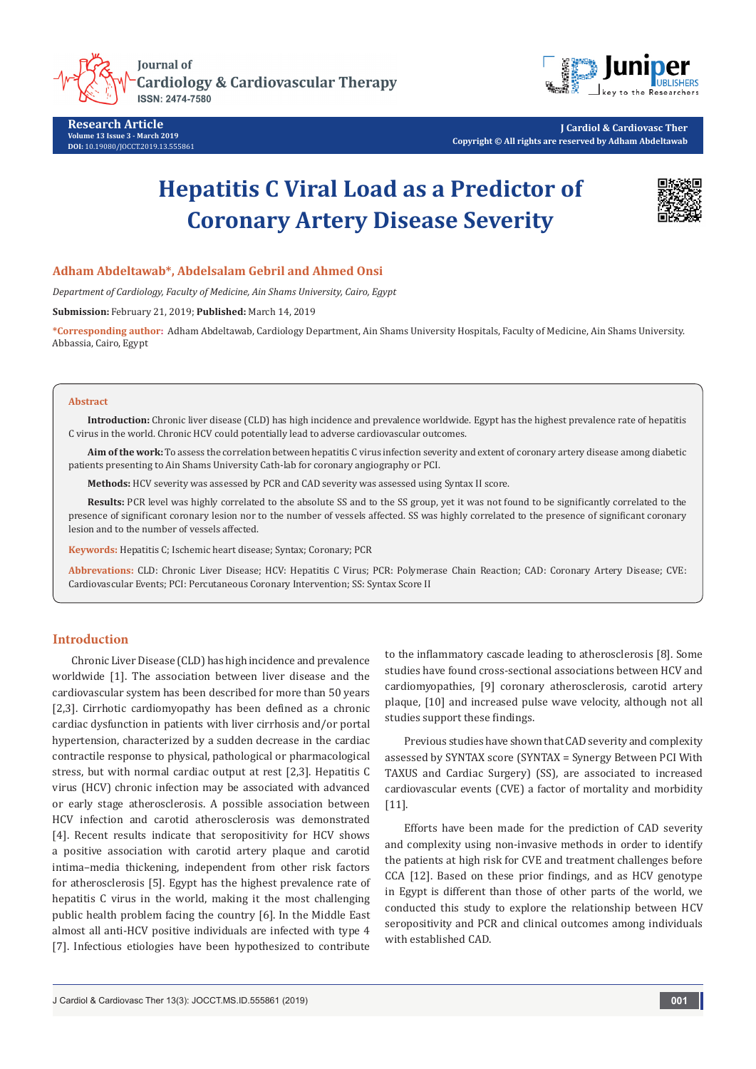

**Research Article Volume 13 Issue 3 - March 2019 DOI:** [10.19080/JOCCT.2019.13.555861](http://dx.doi.org/10.19080/JOCCT.2019.13.555861)

**J Cardiol & Cardiovasc Ther Copyright © All rights are reserved by Adham Abdeltawab**

# **Hepatitis C Viral Load as a Predictor of Coronary Artery Disease Severity**



## **Adham Abdeltawab\*, Abdelsalam Gebril and Ahmed Onsi**

*Department of Cardiology, Faculty of Medicine, Ain Shams University, Cairo, Egypt*

**Submission:** February 21, 2019; **Published:** March 14, 2019

**\*Corresponding author:** Adham Abdeltawab, Cardiology Department, Ain Shams University Hospitals, Faculty of Medicine, Ain Shams University. Abbassia, Cairo, Egypt

#### **Abstract**

**Introduction:** Chronic liver disease (CLD) has high incidence and prevalence worldwide. Egypt has the highest prevalence rate of hepatitis C virus in the world. Chronic HCV could potentially lead to adverse cardiovascular outcomes.

**Aim of the work:** To assess the correlation between hepatitis C virus infection severity and extent of coronary artery disease among diabetic patients presenting to Ain Shams University Cath-lab for coronary angiography or PCI.

**Methods:** HCV severity was assessed by PCR and CAD severity was assessed using Syntax II score.

**Results:** PCR level was highly correlated to the absolute SS and to the SS group, yet it was not found to be significantly correlated to the presence of significant coronary lesion nor to the number of vessels affected. SS was highly correlated to the presence of significant coronary lesion and to the number of vessels affected.

**Keywords:** Hepatitis C; Ischemic heart disease; Syntax; Coronary; PCR

**Abbrevations:** CLD: Chronic Liver Disease; HCV: Hepatitis C Virus; PCR: Polymerase Chain Reaction; CAD: Coronary Artery Disease; CVE: Cardiovascular Events; PCI: Percutaneous Coronary Intervention; SS: Syntax Score II

## **Introduction**

Chronic Liver Disease (CLD) has high incidence and prevalence worldwide [1]. The association between liver disease and the cardiovascular system has been described for more than 50 years [2,3]. Cirrhotic cardiomyopathy has been defined as a chronic cardiac dysfunction in patients with liver cirrhosis and/or portal hypertension, characterized by a sudden decrease in the cardiac contractile response to physical, pathological or pharmacological stress, but with normal cardiac output at rest [2,3]. Hepatitis C virus (HCV) chronic infection may be associated with advanced or early stage atherosclerosis. A possible association between HCV infection and carotid atherosclerosis was demonstrated [4]. Recent results indicate that seropositivity for HCV shows a positive association with carotid artery plaque and carotid intima–media thickening, independent from other risk factors for atherosclerosis [5]. Egypt has the highest prevalence rate of hepatitis C virus in the world, making it the most challenging public health problem facing the country [6]. In the Middle East almost all anti-HCV positive individuals are infected with type 4 [7]. Infectious etiologies have been hypothesized to contribute

to the inflammatory cascade leading to atherosclerosis [8]. Some studies have found cross-sectional associations between HCV and cardiomyopathies, [9] coronary atherosclerosis, carotid artery plaque, [10] and increased pulse wave velocity, although not all studies support these findings.

Previous studies have shown that CAD severity and complexity assessed by SYNTAX score (SYNTAX = Synergy Between PCI With TAXUS and Cardiac Surgery) (SS), are associated to increased cardiovascular events (CVE) a factor of mortality and morbidity [11].

Efforts have been made for the prediction of CAD severity and complexity using non-invasive methods in order to identify the patients at high risk for CVE and treatment challenges before CCA [12]. Based on these prior findings, and as HCV genotype in Egypt is different than those of other parts of the world, we conducted this study to explore the relationship between HCV seropositivity and PCR and clinical outcomes among individuals with established CAD.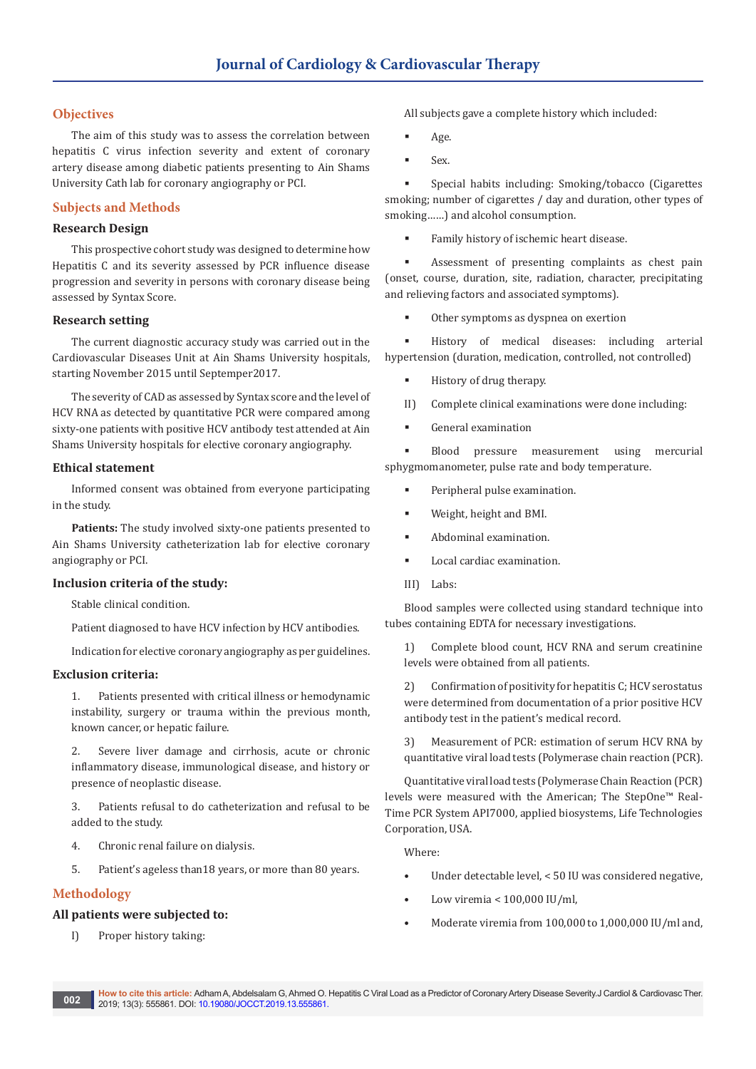## **Objectives**

The aim of this study was to assess the correlation between hepatitis C virus infection severity and extent of coronary artery disease among diabetic patients presenting to Ain Shams University Cath lab for coronary angiography or PCI.

## **Subjects and Methods**

## **Research Design**

This prospective cohort study was designed to determine how Hepatitis C and its severity assessed by PCR influence disease progression and severity in persons with coronary disease being assessed by Syntax Score.

#### **Research setting**

The current diagnostic accuracy study was carried out in the Cardiovascular Diseases Unit at Ain Shams University hospitals, starting November 2015 until Septemper2017.

The severity of CAD as assessed by Syntax score and the level of HCV RNA as detected by quantitative PCR were compared among sixty-one patients with positive HCV antibody test attended at Ain Shams University hospitals for elective coronary angiography.

#### **Ethical statement**

Informed consent was obtained from everyone participating in the study.

**Patients:** The study involved sixty-one patients presented to Ain Shams University catheterization lab for elective coronary angiography or PCI.

#### **Inclusion criteria of the study:**

Stable clinical condition.

Patient diagnosed to have HCV infection by HCV antibodies.

Indication for elective coronary angiography as per guidelines.

## **Exclusion criteria:**

1. Patients presented with critical illness or hemodynamic instability, surgery or trauma within the previous month, known cancer, or hepatic failure.

2. Severe liver damage and cirrhosis, acute or chronic inflammatory disease, immunological disease, and history or presence of neoplastic disease.

3. Patients refusal to do catheterization and refusal to be added to the study.

- 4. Chronic renal failure on dialysis.
- 5. Patient's ageless than18 years, or more than 80 years.

## **Methodology**

## **All patients were subjected to:**

I) Proper history taking:

All subjects gave a complete history which included:

- Age.
- Sex.

 Special habits including: Smoking/tobacco (Cigarettes smoking; number of cigarettes / day and duration, other types of smoking……) and alcohol consumption.

Family history of ischemic heart disease.

 Assessment of presenting complaints as chest pain (onset, course, duration, site, radiation, character, precipitating and relieving factors and associated symptoms).

Other symptoms as dyspnea on exertion

 History of medical diseases: including arterial hypertension (duration, medication, controlled, not controlled)

- **History of drug therapy.**
- II) Complete clinical examinations were done including:
- General examination

 Blood pressure measurement using mercurial sphygmomanometer, pulse rate and body temperature.

- Peripheral pulse examination.
- Weight, height and BMI.
- Abdominal examination.
- Local cardiac examination.
- III) Labs:

Blood samples were collected using standard technique into tubes containing EDTA for necessary investigations.

1) Complete blood count, HCV RNA and serum creatinine levels were obtained from all patients.

2) Confirmation of positivity for hepatitis C; HCV serostatus were determined from documentation of a prior positive HCV antibody test in the patient's medical record.

3) Measurement of PCR: estimation of serum HCV RNA by quantitative viral load tests (Polymerase chain reaction (PCR).

Quantitative viral load tests (Polymerase Chain Reaction (PCR) levels were measured with the American; The StepOne™ Real-Time PCR System API7000, applied biosystems, Life Technologies Corporation, USA.

Where:

- Under detectable level, < 50 IU was considered negative,
- Low viremia < 100,000 IU/ml,
- Moderate viremia from 100,000 to 1,000,000 IU/ml and,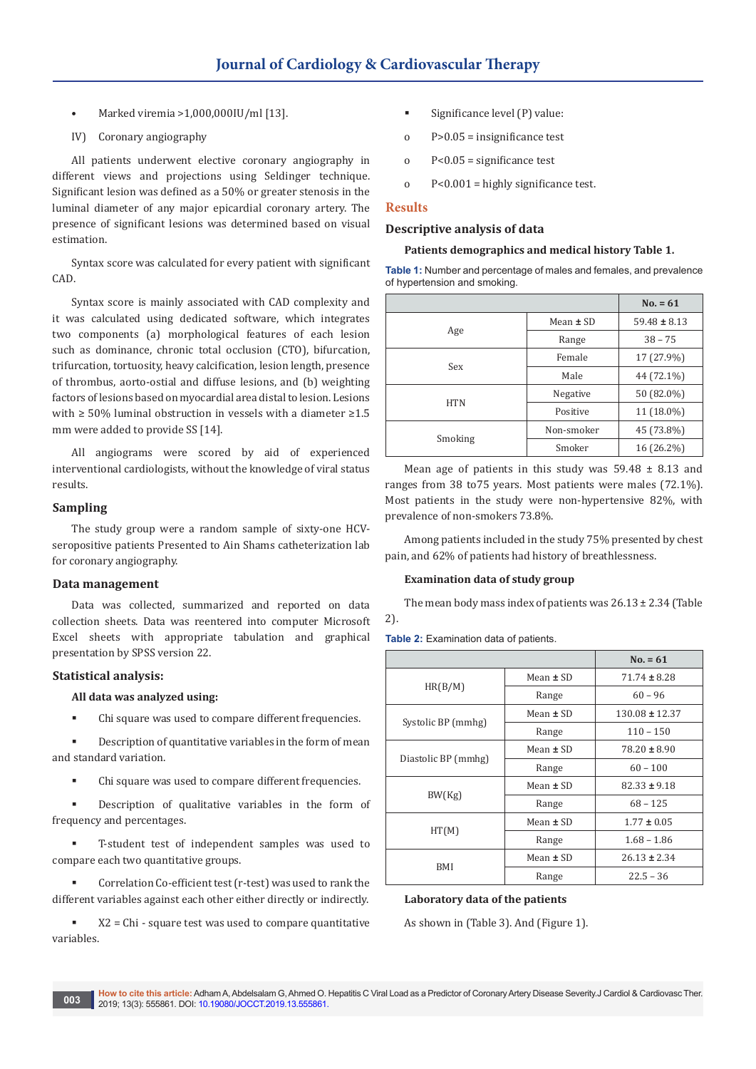- Marked viremia >1,000,000IU/ml [13].
- IV) Coronary angiography

All patients underwent elective coronary angiography in different views and projections using Seldinger technique. Significant lesion was defined as a 50% or greater stenosis in the luminal diameter of any major epicardial coronary artery. The presence of significant lesions was determined based on visual estimation.

Syntax score was calculated for every patient with significant CAD.

Syntax score is mainly associated with CAD complexity and it was calculated using dedicated software, which integrates two components (a) morphological features of each lesion such as dominance, chronic total occlusion (CTO), bifurcation, trifurcation, tortuosity, heavy calcification, lesion length, presence of thrombus, aorto-ostial and diffuse lesions, and (b) weighting factors of lesions based on myocardial area distal to lesion. Lesions with ≥ 50% luminal obstruction in vessels with a diameter ≥1.5 mm were added to provide SS [14].

All angiograms were scored by aid of experienced interventional cardiologists, without the knowledge of viral status results.

#### **Sampling**

The study group were a random sample of sixty-one HCVseropositive patients Presented to Ain Shams catheterization lab for coronary angiography.

#### **Data management**

Data was collected, summarized and reported on data collection sheets. Data was reentered into computer Microsoft Excel sheets with appropriate tabulation and graphical presentation by SPSS version 22.

#### **Statistical analysis:**

#### **All data was analyzed using:**

Chi square was used to compare different frequencies.

 Description of quantitative variables in the form of mean and standard variation.

Chi square was used to compare different frequencies.

 Description of qualitative variables in the form of frequency and percentages.

 T-student test of independent samples was used to compare each two quantitative groups.

 Correlation Co-efficient test (r-test) was used to rank the different variables against each other either directly or indirectly.

 X2 = Chi - square test was used to compare quantitative variables.

- Significance level (P) value:
- o P>0.05 = insignificance test
- o P<0.05 = significance test
- o P<0.001 = highly significance test.

#### **Results**

## **Descriptive analysis of data**

#### **Patients demographics and medical history Table 1.**

**Table 1:** Number and percentage of males and females, and prevalence of hypertension and smoking.

|            |               | $No. = 61$       |
|------------|---------------|------------------|
|            | Mean $\pm$ SD | $59.48 \pm 8.13$ |
| Age        | Range         | $38 - 75$        |
| Sex        | Female        | 17 (27.9%)       |
|            | Male          | 44 (72.1%)       |
|            | Negative      | 50 (82.0%)       |
| <b>HTN</b> | Positive      | 11 (18.0%)       |
|            | Non-smoker    | 45 (73.8%)       |
| Smoking    | Smoker        | 16 (26.2%)       |

Mean age of patients in this study was  $59.48 \pm 8.13$  and ranges from 38 to75 years. Most patients were males (72.1%). Most patients in the study were non-hypertensive 82%, with prevalence of non-smokers 73.8%.

Among patients included in the study 75% presented by chest pain, and 62% of patients had history of breathlessness.

#### **Examination data of study group**

The mean body mass index of patients was  $26.13 \pm 2.34$  (Table 2).

**Table 2:** Examination data of patients.

|                     |               | $No. = 61$         |
|---------------------|---------------|--------------------|
|                     | Mean $\pm$ SD | $71.74 \pm 8.28$   |
| HR(B/M)             | Range         | $60 - 96$          |
|                     | Mean $\pm$ SD | $130.08 \pm 12.37$ |
| Systolic BP (mmhg)  | Range         | $110 - 150$        |
| Diastolic BP (mmhg) | Mean $\pm$ SD | $78.20 \pm 8.90$   |
|                     | Range         | $60 - 100$         |
|                     | Mean $\pm$ SD | $82.33 \pm 9.18$   |
| BW(Kg)              | Range         | $68 - 125$         |
|                     | Mean $\pm$ SD | $1.77 \pm 0.05$    |
| HT(M)               | Range         | $1.68 - 1.86$      |
|                     | Mean $\pm$ SD | $26.13 \pm 2.34$   |
| <b>BMI</b>          | Range         | $22.5 - 36$        |

#### **Laboratory data of the patients**

As shown in (Table 3). And (Figure 1).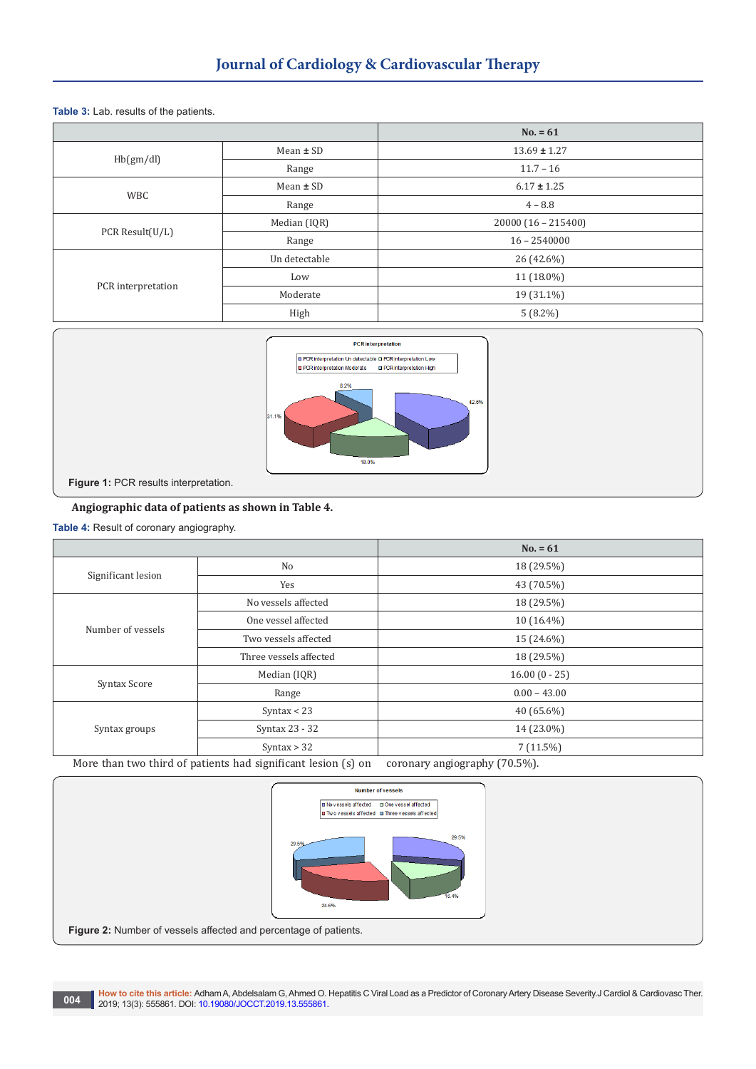**Table 3:** Lab. results of the patients.

|                    |               | $No. = 61$           |  |
|--------------------|---------------|----------------------|--|
|                    | Mean $\pm$ SD | $13.69 \pm 1.27$     |  |
| Hb(gm/dl)          | Range         | $11.7 - 16$          |  |
| <b>WBC</b>         | Mean $\pm$ SD | $6.17 \pm 1.25$      |  |
|                    | Range         | $4 - 8.8$            |  |
| PCR Result(U/L)    | Median (IQR)  | $20000(16 - 215400)$ |  |
|                    | Range         | $16 - 2540000$       |  |
|                    | Un detectable | 26 (42.6%)           |  |
| PCR interpretation | Low           | 11 (18.0%)           |  |
|                    | Moderate      | 19 (31.1%)           |  |
|                    | High          | $5(8.2\%)$           |  |



## **Angiographic data of patients as shown in Table 4.**

**Table 4:** Result of coronary angiography.

|                    |                                                               | $No. = 61$                   |  |  |
|--------------------|---------------------------------------------------------------|------------------------------|--|--|
|                    | No                                                            | 18 (29.5%)                   |  |  |
| Significant lesion | Yes                                                           | 43 (70.5%)                   |  |  |
|                    | No vessels affected                                           | 18 (29.5%)                   |  |  |
| Number of vessels  | One vessel affected                                           | $10(16.4\%)$                 |  |  |
|                    | Two vessels affected                                          | 15 (24.6%)                   |  |  |
|                    | Three vessels affected                                        | 18 (29.5%)                   |  |  |
|                    | Median (IQR)                                                  | $16.00(0 - 25)$              |  |  |
| Syntax Score       | Range                                                         | $0.00 - 43.00$               |  |  |
|                    | Syntax $<$ 23                                                 | $40(65.6\%)$                 |  |  |
| Syntax groups      | Syntax 23 - 32                                                | 14 (23.0%)                   |  |  |
|                    | Syntax $> 32$                                                 | $7(11.5\%)$                  |  |  |
|                    | More than two third of patients had significant lesion (s) on | coronary angiography (70.5%) |  |  |

More than two third of patients had significant lesion (s) on coronary angiography (70.5%).

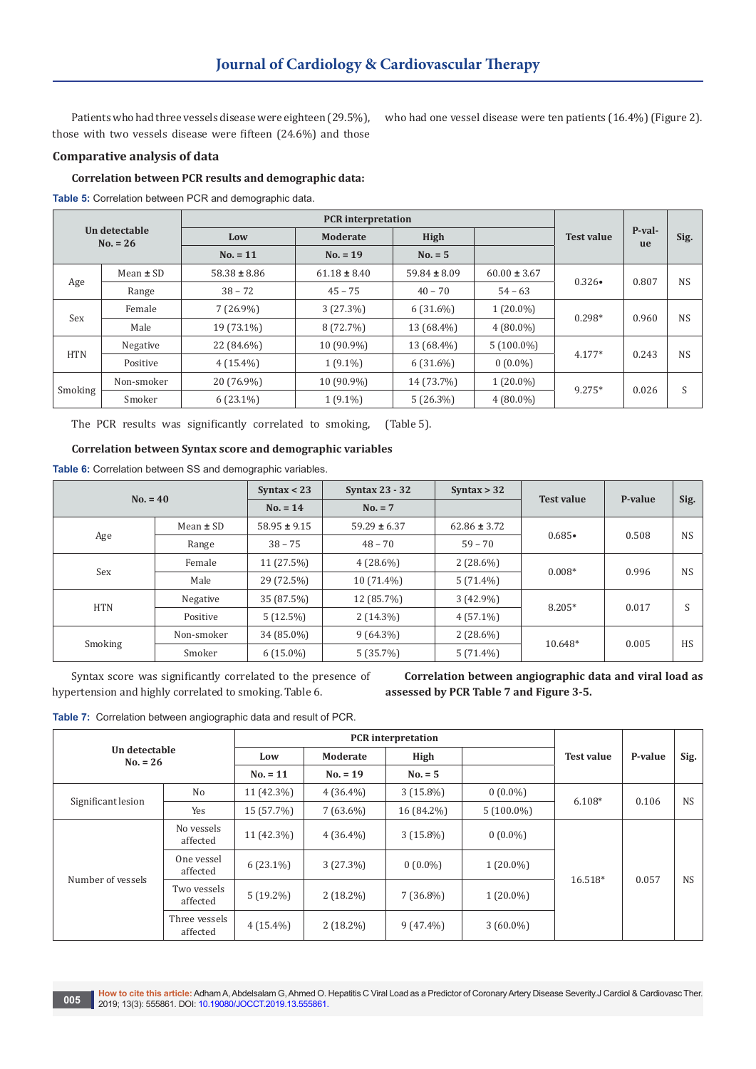Patients who had three vessels disease were eighteen (29.5%), those with two vessels disease were fifteen (24.6%) and those

who had one vessel disease were ten patients (16.4%) (Figure 2).

## **Comparative analysis of data**

#### **Correlation between PCR results and demographic data:**

**Table 5:** Correlation between PCR and demographic data.

| <b>PCR</b> interpretation   |               |                                       |                         |                  |                  |                   |                     |           |
|-----------------------------|---------------|---------------------------------------|-------------------------|------------------|------------------|-------------------|---------------------|-----------|
| Un detectable<br>$No. = 26$ |               | Low                                   | <b>High</b><br>Moderate |                  |                  | <b>Test value</b> | P-val-<br><b>ue</b> | Sig.      |
|                             |               | $No. = 5$<br>$No. = 11$<br>$No. = 19$ |                         |                  |                  |                   |                     |           |
|                             | Mean $\pm$ SD | $58.38 \pm 8.86$                      | $61.18 \pm 8.40$        | $59.84 \pm 8.09$ | $60.00 \pm 3.67$ | $0.326 \bullet$   | 0.807               | <b>NS</b> |
| Age                         | Range         | $38 - 72$                             | $45 - 75$               | $40 - 70$        | $54 - 63$        |                   |                     |           |
| Sex                         | Female        | $7(26.9\%)$                           | 3(27.3%)                | $6(31.6\%)$      | $1(20.0\%)$      | $0.298*$          |                     | <b>NS</b> |
|                             | Male          | 19 (73.1%)                            | 8 (72.7%)               | 13 (68.4%)       | $4(80.0\%)$      |                   | 0.960               |           |
| <b>HTN</b>                  | Negative      | 22 (84.6%)                            | 10 (90.9%)              | 13 (68.4%)       | $5(100.0\%)$     | $4.177*$          | 0.243               | <b>NS</b> |
|                             | Positive      | $4(15.4\%)$                           | $1(9.1\%)$              | $6(31.6\%)$      | $0(0.0\%)$       |                   |                     |           |
|                             | Non-smoker    | 20 (76.9%)                            | 10 (90.9%)              | 14 (73.7%)       | $1(20.0\%)$      | $9.275*$          |                     | S         |
| Smoking                     | Smoker        | $6(23.1\%)$                           | $1(9.1\%)$              | $5(26.3\%)$      | $4(80.0\%)$      |                   | 0.026               |           |

The PCR results was significantly correlated to smoking, (Table 5).

#### **Correlation between Syntax score and demographic variables**

**Table 6:** Correlation between SS and demographic variables.

| $No. = 40$ |               | Syntax $<$ 23           | <b>Syntax 23 - 32</b> | Syntax $> 32$    |                   |         |           |
|------------|---------------|-------------------------|-----------------------|------------------|-------------------|---------|-----------|
|            |               | $No. = 7$<br>$No. = 14$ |                       |                  | <b>Test value</b> | P-value | Sig.      |
|            | Mean $\pm$ SD | $58.95 \pm 9.15$        | $59.29 \pm 6.37$      | $62.86 \pm 3.72$ | $0.685 \bullet$   | 0.508   |           |
| Age        | Range         | $38 - 75$               | $48 - 70$             | $59 - 70$        |                   |         | <b>NS</b> |
| Sex        | Female        | $11(27.5\%)$            | $4(28.6\%)$           | $2(28.6\%)$      | $0.008*$          | 0.996   | <b>NS</b> |
|            | Male          | 29 (72.5%)              | $10(71.4\%)$          | $5(71.4\%)$      |                   |         |           |
|            | Negative      | 35 (87.5%)              | 12 (85.7%)            | $3(42.9\%)$      | 8.205*            | 0.017   | c         |
| <b>HTN</b> | Positive      | 5(12.5%)                | $2(14.3\%)$           | $4(57.1\%)$      |                   |         |           |
| Smoking    | Non-smoker    | 34 (85.0%)              | $9(64.3\%)$           | $2(28.6\%)$      |                   | 0.005   |           |
|            | Smoker        | $6(15.0\%)$             | 5(35.7%)              | $5(71.4\%)$      | 10.648*           |         | <b>HS</b> |

Syntax score was significantly correlated to the presence of hypertension and highly correlated to smoking. Table 6.

**Correlation between angiographic data and viral load as assessed by PCR Table 7 and Figure 3-5.**

**Table 7:** Correlation between angiographic data and result of PCR.

| Un detectable<br>$No. = 26$ |                           | <b>PCR</b> interpretation |             |             |              |                   |         |           |
|-----------------------------|---------------------------|---------------------------|-------------|-------------|--------------|-------------------|---------|-----------|
|                             |                           | Low                       | Moderate    | High        |              | <b>Test value</b> | P-value | Sig.      |
|                             |                           | $No. = 11$                | $No. = 19$  | $No. = 5$   |              |                   |         |           |
|                             | No                        | 11 (42.3%)                | $4(36.4\%)$ | $3(15.8\%)$ | $0(0.0\%)$   |                   | 0.106   |           |
| Significant lesion          | Yes                       | 15 (57.7%)                | $7(63.6\%)$ | 16 (84.2%)  | $5(100.0\%)$ | $6.108*$          |         | <b>NS</b> |
| Number of vessels           | No vessels<br>affected    | 11 (42.3%)                | $4(36.4\%)$ | $3(15.8\%)$ | $0(0.0\%)$   | 16.518*           |         |           |
|                             | One vessel<br>affected    | $6(23.1\%)$               | 3(27.3%)    | $0(0.0\%)$  | $1(20.0\%)$  |                   |         |           |
|                             | Two vessels<br>affected   | $5(19.2\%)$               | $2(18.2\%)$ | $7(36.8\%)$ | $1(20.0\%)$  |                   | 0.057   | <b>NS</b> |
|                             | Three vessels<br>affected | $4(15.4\%)$               | $2(18.2\%)$ | $9(47.4\%)$ | $3(60.0\%)$  |                   |         |           |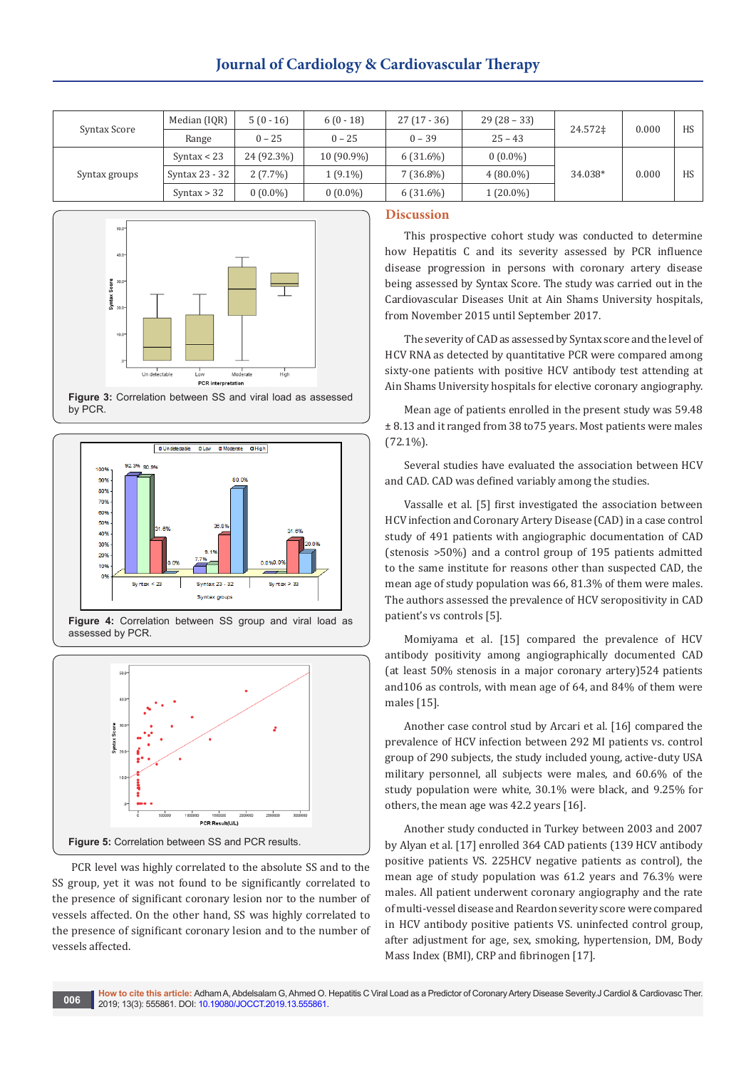## **Journal of Cardiology & Cardiovascular Therapy**

| Syntax Score  | Median (IQR)   | $5(0-16)$  | $6(0-18)$  | $27(17-36)$ | $29(28-33)$ |         | 0.000 | HS |
|---------------|----------------|------------|------------|-------------|-------------|---------|-------|----|
|               | Range          | $0 - 25$   | $0 - 25$   | $0 - 39$    | $25 - 43$   | 24.572‡ |       |    |
| Syntax groups | Syntax $<$ 23  | 24 (92.3%) | 10 (90.9%) | $6(31.6\%)$ | $0(0.0\%)$  | 34.038* |       |    |
|               | Syntax 23 - 32 | $2(7.7\%)$ | $1(9.1\%)$ | $7(36.8\%)$ | $4(80.0\%)$ |         | 0.000 | HS |
|               | Syntax $> 32$  | $0(0.0\%)$ | $0(0.0\%)$ | $6(31.6\%)$ | $1(20.0\%)$ |         |       |    |



**Figure 3:** Correlation between SS and viral load as assessed by PCR.







PCR level was highly correlated to the absolute SS and to the SS group, yet it was not found to be significantly correlated to the presence of significant coronary lesion nor to the number of vessels affected. On the other hand, SS was highly correlated to the presence of significant coronary lesion and to the number of vessels affected.

## **Discussion**

This prospective cohort study was conducted to determine how Hepatitis C and its severity assessed by PCR influence disease progression in persons with coronary artery disease being assessed by Syntax Score. The study was carried out in the Cardiovascular Diseases Unit at Ain Shams University hospitals, from November 2015 until September 2017.

The severity of CAD as assessed by Syntax score and the level of HCV RNA as detected by quantitative PCR were compared among sixty-one patients with positive HCV antibody test attending at Ain Shams University hospitals for elective coronary angiography.

Mean age of patients enrolled in the present study was 59.48 ± 8.13 and it ranged from 38 to75 years. Most patients were males (72.1%).

Several studies have evaluated the association between HCV and CAD. CAD was defined variably among the studies.

Vassalle et al. [5] first investigated the association between HCV infection and Coronary Artery Disease (CAD) in a case control study of 491 patients with angiographic documentation of CAD (stenosis >50%) and a control group of 195 patients admitted to the same institute for reasons other than suspected CAD, the mean age of study population was 66, 81.3% of them were males. The authors assessed the prevalence of HCV seropositivity in CAD patient's vs controls [5].

Momiyama et al. [15] compared the prevalence of HCV antibody positivity among angiographically documented CAD (at least 50% stenosis in a major coronary artery)524 patients and106 as controls, with mean age of 64, and 84% of them were males [15].

Another case control stud by Arcari et al. [16] compared the prevalence of HCV infection between 292 MI patients vs. control group of 290 subjects, the study included young, active-duty USA military personnel, all subjects were males, and 60.6% of the study population were white, 30.1% were black, and 9.25% for others, the mean age was 42.2 years [16].

Another study conducted in Turkey between 2003 and 2007 by Alyan et al. [17] enrolled 364 CAD patients (139 HCV antibody positive patients VS. 225HCV negative patients as control), the mean age of study population was 61.2 years and 76.3% were males. All patient underwent coronary angiography and the rate of multi-vessel disease and Reardon severity score were compared in HCV antibody positive patients VS. uninfected control group, after adjustment for age, sex, smoking, hypertension, DM, Body Mass Index (BMI), CRP and fibrinogen [17].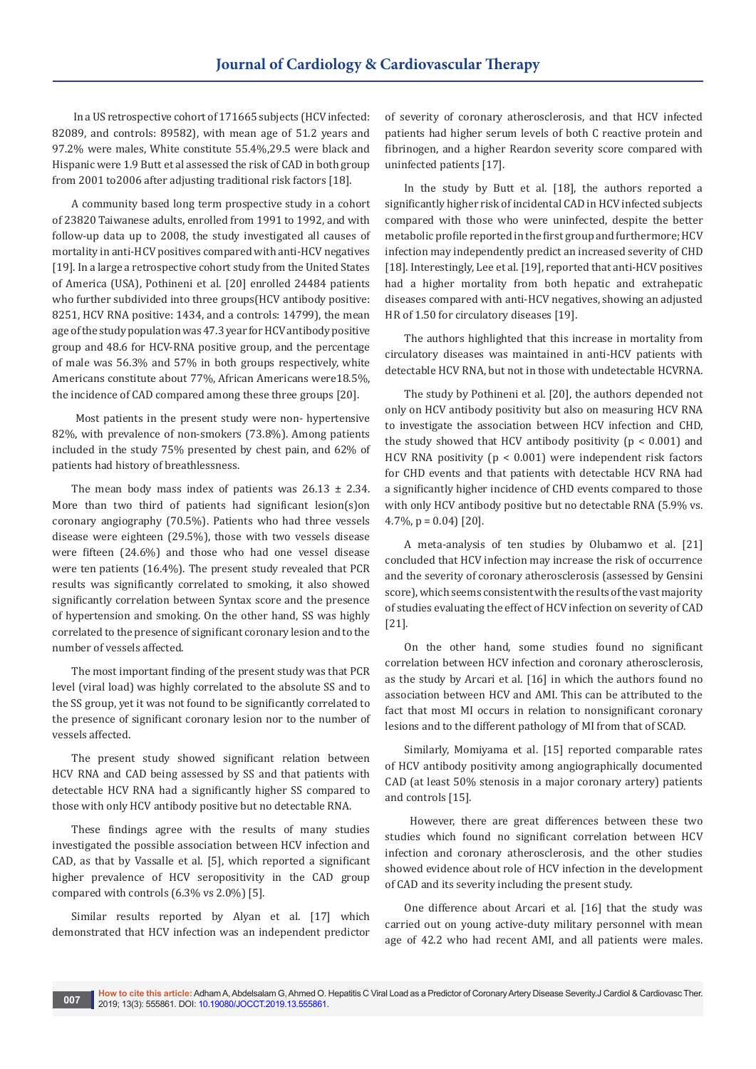In a US retrospective cohort of 171665 subjects (HCV infected: 82089, and controls: 89582), with mean age of 51.2 years and 97.2% were males, White constitute 55.4%,29.5 were black and Hispanic were 1.9 Butt et al assessed the risk of CAD in both group from 2001 to2006 after adjusting traditional risk factors [18].

A community based long term prospective study in a cohort of 23820 Taiwanese adults, enrolled from 1991 to 1992, and with follow-up data up to 2008, the study investigated all causes of mortality in anti-HCV positives compared with anti-HCV negatives [19]. In a large a retrospective cohort study from the United States of America (USA), Pothineni et al. [20] enrolled 24484 patients who further subdivided into three groups(HCV antibody positive: 8251, HCV RNA positive: 1434, and a controls: 14799), the mean age of the study population was 47.3 year for HCV antibody positive group and 48.6 for HCV-RNA positive group, and the percentage of male was 56.3% and 57% in both groups respectively, white Americans constitute about 77%, African Americans were18.5%, the incidence of CAD compared among these three groups [20].

 Most patients in the present study were non- hypertensive 82%, with prevalence of non-smokers (73.8%). Among patients included in the study 75% presented by chest pain, and 62% of patients had history of breathlessness.

The mean body mass index of patients was  $26.13 \pm 2.34$ . More than two third of patients had significant lesion(s)on coronary angiography (70.5%). Patients who had three vessels disease were eighteen (29.5%), those with two vessels disease were fifteen (24.6%) and those who had one vessel disease were ten patients (16.4%). The present study revealed that PCR results was significantly correlated to smoking, it also showed significantly correlation between Syntax score and the presence of hypertension and smoking. On the other hand, SS was highly correlated to the presence of significant coronary lesion and to the number of vessels affected.

The most important finding of the present study was that PCR level (viral load) was highly correlated to the absolute SS and to the SS group, yet it was not found to be significantly correlated to the presence of significant coronary lesion nor to the number of vessels affected.

The present study showed significant relation between HCV RNA and CAD being assessed by SS and that patients with detectable HCV RNA had a significantly higher SS compared to those with only HCV antibody positive but no detectable RNA.

These findings agree with the results of many studies investigated the possible association between HCV infection and CAD, as that by Vassalle et al. [5], which reported a significant higher prevalence of HCV seropositivity in the CAD group compared with controls (6.3% vs 2.0%) [5].

Similar results reported by Alyan et al. [17] which demonstrated that HCV infection was an independent predictor of severity of coronary atherosclerosis, and that HCV infected patients had higher serum levels of both C reactive protein and fibrinogen, and a higher Reardon severity score compared with uninfected patients [17].

In the study by Butt et al. [18], the authors reported a significantly higher risk of incidental CAD in HCV infected subjects compared with those who were uninfected, despite the better metabolic profile reported in the first group and furthermore; HCV infection may independently predict an increased severity of CHD [18]. Interestingly, Lee et al. [19], reported that anti-HCV positives had a higher mortality from both hepatic and extrahepatic diseases compared with anti-HCV negatives, showing an adjusted HR of 1.50 for circulatory diseases [19].

The authors highlighted that this increase in mortality from circulatory diseases was maintained in anti-HCV patients with detectable HCV RNA, but not in those with undetectable HCVRNA.

The study by Pothineni et al. [20], the authors depended not only on HCV antibody positivity but also on measuring HCV RNA to investigate the association between HCV infection and CHD, the study showed that HCV antibody positivity ( $p < 0.001$ ) and HCV RNA positivity (p < 0.001) were independent risk factors for CHD events and that patients with detectable HCV RNA had a significantly higher incidence of CHD events compared to those with only HCV antibody positive but no detectable RNA (5.9% vs. 4.7%,  $p = 0.04$  [20].

A meta-analysis of ten studies by Olubamwo et al. [21] concluded that HCV infection may increase the risk of occurrence and the severity of coronary atherosclerosis (assessed by Gensini score), which seems consistent with the results of the vast majority of studies evaluating the effect of HCV infection on severity of CAD [21].

On the other hand, some studies found no significant correlation between HCV infection and coronary atherosclerosis, as the study by Arcari et al. [16] in which the authors found no association between HCV and AMI. This can be attributed to the fact that most MI occurs in relation to nonsignificant coronary lesions and to the different pathology of MI from that of SCAD.

Similarly, Momiyama et al. [15] reported comparable rates of HCV antibody positivity among angiographically documented CAD (at least 50% stenosis in a major coronary artery) patients and controls [15].

 However, there are great differences between these two studies which found no significant correlation between HCV infection and coronary atherosclerosis, and the other studies showed evidence about role of HCV infection in the development of CAD and its severity including the present study.

One difference about Arcari et al. [16] that the study was carried out on young active-duty military personnel with mean age of 42.2 who had recent AMI, and all patients were males.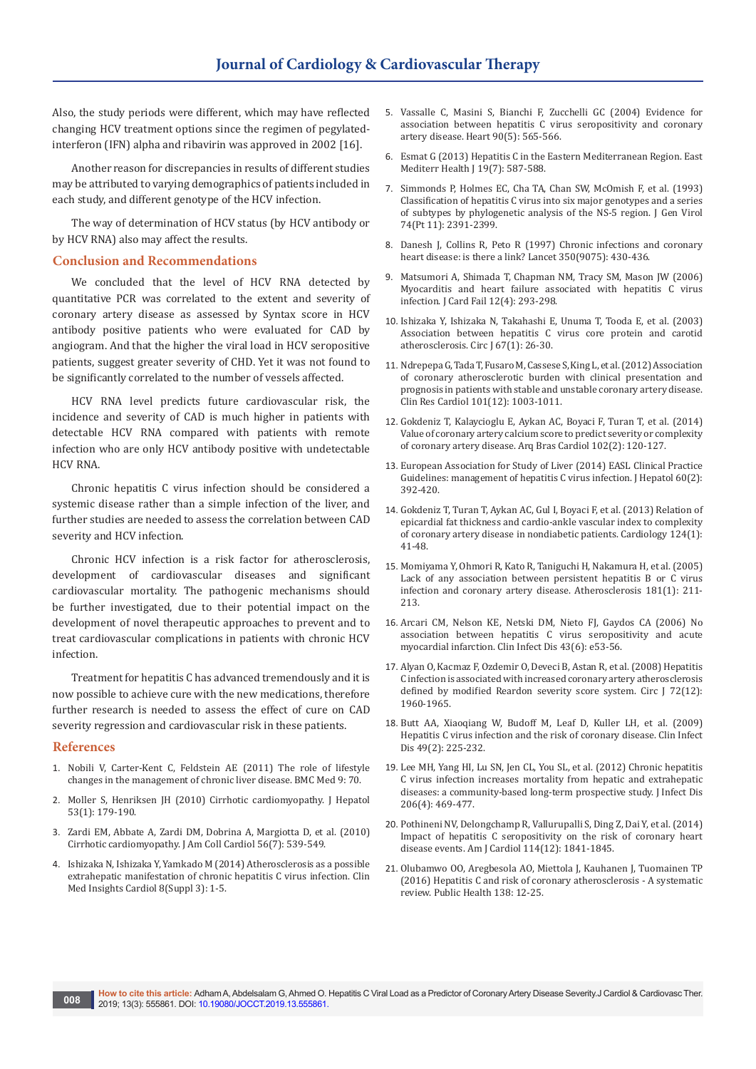Also, the study periods were different, which may have reflected changing HCV treatment options since the regimen of pegylatedinterferon (IFN) alpha and ribavirin was approved in 2002 [16].

Another reason for discrepancies in results of different studies may be attributed to varying demographics of patients included in each study, and different genotype of the HCV infection.

The way of determination of HCV status (by HCV antibody or by HCV RNA) also may affect the results.

#### **Conclusion and Recommendations**

We concluded that the level of HCV RNA detected by quantitative PCR was correlated to the extent and severity of coronary artery disease as assessed by Syntax score in HCV antibody positive patients who were evaluated for CAD by angiogram. And that the higher the viral load in HCV seropositive patients, suggest greater severity of CHD. Yet it was not found to be significantly correlated to the number of vessels affected.

HCV RNA level predicts future cardiovascular risk, the incidence and severity of CAD is much higher in patients with detectable HCV RNA compared with patients with remote infection who are only HCV antibody positive with undetectable HCV RNA.

Chronic hepatitis C virus infection should be considered a systemic disease rather than a simple infection of the liver, and further studies are needed to assess the correlation between CAD severity and HCV infection.

Chronic HCV infection is a risk factor for atherosclerosis, development of cardiovascular diseases and significant cardiovascular mortality. The pathogenic mechanisms should be further investigated, due to their potential impact on the development of novel therapeutic approaches to prevent and to treat cardiovascular complications in patients with chronic HCV infection.

Treatment for hepatitis C has advanced tremendously and it is now possible to achieve cure with the new medications, therefore further research is needed to assess the effect of cure on CAD severity regression and cardiovascular risk in these patients.

#### **References**

- 1. [Nobili V, Carter-Kent C, Feldstein AE \(2011\) The role of lifestyle](https://www.ncbi.nlm.nih.gov/pubmed/21645344)  [changes in the management of chronic liver disease. BMC Med 9: 70.](https://www.ncbi.nlm.nih.gov/pubmed/21645344)
- 2. [Moller S, Henriksen JH \(2010\) Cirrhotic cardiomyopathy. J Hepatol](https://www.ncbi.nlm.nih.gov/pubmed/20462649)  [53\(1\): 179-190.](https://www.ncbi.nlm.nih.gov/pubmed/20462649)
- 3. [Zardi EM, Abbate A, Zardi DM, Dobrina A, Margiotta D, et al. \(2010\)](https://www.ncbi.nlm.nih.gov/pubmed/20688208)  [Cirrhotic cardiomyopathy. J Am Coll Cardiol 56\(7\): 539-549.](https://www.ncbi.nlm.nih.gov/pubmed/20688208)
- 4. [Ishizaka N, Ishizaka Y, Yamkado M \(2014\) Atherosclerosis as a possible](https://www.ncbi.nlm.nih.gov/pubmed/25452704/)  [extrahepatic manifestation of chronic hepatitis C virus infection. Clin](https://www.ncbi.nlm.nih.gov/pubmed/25452704/)  [Med Insights Cardiol 8\(Suppl 3\): 1-5.](https://www.ncbi.nlm.nih.gov/pubmed/25452704/)
- 5. [Vassalle C, Masini S, Bianchi F, Zucchelli GC \(2004\) Evidence for](https://www.ncbi.nlm.nih.gov/pubmed/15084562)  [association between hepatitis C virus seropositivity and coronary](https://www.ncbi.nlm.nih.gov/pubmed/15084562)  [artery disease. Heart 90\(5\): 565-566.](https://www.ncbi.nlm.nih.gov/pubmed/15084562)
- 6. [Esmat G \(2013\) Hepatitis C in the Eastern Mediterranean Region. East](https://www.ncbi.nlm.nih.gov/pubmed/24975301)  Mediterr Health [19(7): 587-588.
- 7. [Simmonds P, Holmes EC, Cha TA, Chan SW, McOmish F, et al. \(1993\)](https://www.ncbi.nlm.nih.gov/pubmed/8245854)  [Classification of hepatitis C virus into six major genotypes and a series](https://www.ncbi.nlm.nih.gov/pubmed/8245854)  [of subtypes by phylogenetic analysis of the NS-5 region. J Gen Virol](https://www.ncbi.nlm.nih.gov/pubmed/8245854)  [74\(Pt 11\): 2391-2399.](https://www.ncbi.nlm.nih.gov/pubmed/8245854)
- 8. [Danesh J, Collins R, Peto R \(1997\) Chronic infections and coronary](https://www.ncbi.nlm.nih.gov/pubmed/9259669)  [heart disease: is there a link? Lancet 350\(9075\): 430-436.](https://www.ncbi.nlm.nih.gov/pubmed/9259669)
- 9. [Matsumori A, Shimada T, Chapman NM, Tracy SM, Mason JW \(2006\)](https://www.ncbi.nlm.nih.gov/pubmed/16679263)  [Myocarditis and heart failure associated with hepatitis C virus](https://www.ncbi.nlm.nih.gov/pubmed/16679263)  [infection. J Card Fail 12\(4\): 293-298.](https://www.ncbi.nlm.nih.gov/pubmed/16679263)
- 10. [Ishizaka Y, Ishizaka N, Takahashi E, Unuma T, Tooda E, et al. \(2003\)](https://www.ncbi.nlm.nih.gov/pubmed/12520147)  [Association between hepatitis C virus core protein and carotid](https://www.ncbi.nlm.nih.gov/pubmed/12520147)  [atherosclerosis. Circ J 67\(1\): 26-30.](https://www.ncbi.nlm.nih.gov/pubmed/12520147)
- 11. [Ndrepepa G, Tada T, Fusaro M, Cassese S, King L, et al. \(2012\) Association](https://www.ncbi.nlm.nih.gov/pubmed/22772817)  [of coronary atherosclerotic burden with clinical presentation and](https://www.ncbi.nlm.nih.gov/pubmed/22772817)  [prognosis in patients with stable and unstable coronary artery disease.](https://www.ncbi.nlm.nih.gov/pubmed/22772817)  [Clin Res Cardiol 101\(12\): 1003-1011.](https://www.ncbi.nlm.nih.gov/pubmed/22772817)
- 12. [Gokdeniz T, Kalaycioglu E, Aykan AC, Boyaci F, Turan T, et al. \(2014\)](https://www.ncbi.nlm.nih.gov/pubmed/24676367)  [Value of coronary artery calcium score to predict severity or complexity](https://www.ncbi.nlm.nih.gov/pubmed/24676367)  [of coronary artery disease. Arq Bras Cardiol 102\(2\): 120-127.](https://www.ncbi.nlm.nih.gov/pubmed/24676367)
- 13. [European Association for Study of Liver \(2014\) EASL Clinical Practice](https://www.ncbi.nlm.nih.gov/pubmed/24331294)  [Guidelines: management of hepatitis C virus infection. J Hepatol 60\(2\):](https://www.ncbi.nlm.nih.gov/pubmed/24331294)  [392-420.](https://www.ncbi.nlm.nih.gov/pubmed/24331294)
- 14. [Gokdeniz T, Turan T, Aykan AC, Gul I, Boyaci F, et al. \(2013\) Relation of](https://www.ncbi.nlm.nih.gov/pubmed/23328069)  [epicardial fat thickness and cardio-ankle vascular index to complexity](https://www.ncbi.nlm.nih.gov/pubmed/23328069)  [of coronary artery disease in nondiabetic patients. Cardiology 124\(1\):](https://www.ncbi.nlm.nih.gov/pubmed/23328069)  [41-48.](https://www.ncbi.nlm.nih.gov/pubmed/23328069)
- 15. [Momiyama Y, Ohmori R, Kato R, Taniguchi H, Nakamura H, et al. \(2005\)](https://www.ncbi.nlm.nih.gov/pubmed/15939074)  [Lack of any association between persistent hepatitis B or C virus](https://www.ncbi.nlm.nih.gov/pubmed/15939074)  [infection and coronary artery disease. Atherosclerosis 181\(1\): 211-](https://www.ncbi.nlm.nih.gov/pubmed/15939074) [213.](https://www.ncbi.nlm.nih.gov/pubmed/15939074)
- 16. [Arcari CM, Nelson KE, Netski DM, Nieto FJ, Gaydos CA \(2006\) No](https://www.ncbi.nlm.nih.gov/pubmed/16912934)  [association between hepatitis C virus seropositivity and acute](https://www.ncbi.nlm.nih.gov/pubmed/16912934)  [myocardial infarction. Clin Infect Dis 43\(6\): e53-56.](https://www.ncbi.nlm.nih.gov/pubmed/16912934)
- 17. [Alyan O, Kacmaz F, Ozdemir O, Deveci B, Astan R, et al. \(2008\) Hepatitis](https://www.ncbi.nlm.nih.gov/pubmed/18957787)  [C infection is associated with increased coronary artery atherosclerosis](https://www.ncbi.nlm.nih.gov/pubmed/18957787)  defined by modified Reardon severity score system. Circ [ 72(12): [1960-1965.](https://www.ncbi.nlm.nih.gov/pubmed/18957787)
- 18. [Butt AA, Xiaoqiang W, Budoff M, Leaf D, Kuller LH, et al. \(2009\)](https://www.ncbi.nlm.nih.gov/pubmed/19508169)  [Hepatitis C virus infection and the risk of coronary disease. Clin Infect](https://www.ncbi.nlm.nih.gov/pubmed/19508169)  [Dis 49\(2\): 225-232.](https://www.ncbi.nlm.nih.gov/pubmed/19508169)
- 19. [Lee MH, Yang HI, Lu SN, Jen CL, You SL, et al. \(2012\) Chronic hepatitis](https://www.ncbi.nlm.nih.gov/pubmed/22811301)  [C virus infection increases mortality from hepatic and extrahepatic](https://www.ncbi.nlm.nih.gov/pubmed/22811301)  [diseases: a community-based long-term prospective study. J Infect Dis](https://www.ncbi.nlm.nih.gov/pubmed/22811301)  [206\(4\): 469-477.](https://www.ncbi.nlm.nih.gov/pubmed/22811301)
- 20. [Pothineni NV, Delongchamp R, Vallurupalli S, Ding Z, Dai Y, et al. \(2014\)](https://www.ncbi.nlm.nih.gov/pubmed/25438910/)  [Impact of hepatitis C seropositivity on the risk of coronary heart](https://www.ncbi.nlm.nih.gov/pubmed/25438910/)  [disease events. Am J Cardiol 114\(12\): 1841-1845.](https://www.ncbi.nlm.nih.gov/pubmed/25438910/)
- 21. [Olubamwo OO, Aregbesola AO, Miettola J, Kauhanen J, Tuomainen TP](https://www.ncbi.nlm.nih.gov/pubmed/27207725)  [\(2016\) Hepatitis C and risk of coronary atherosclerosis - A systematic](https://www.ncbi.nlm.nih.gov/pubmed/27207725)  [review. Public Health 138: 12-25.](https://www.ncbi.nlm.nih.gov/pubmed/27207725)